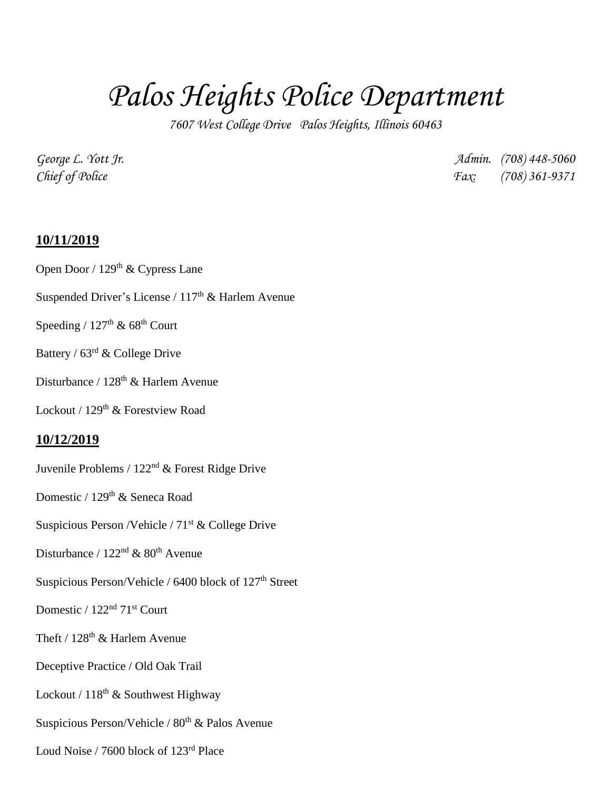# *Palos Heights Police Department*

*7607 West College Drive Palos Heights, Illinois 60463*

*George L. Yott Jr. Admin. (708) 448-5060 Chief of Police Fax: (708) 361-9371*

#### **10/11/2019**

Open Door / 129<sup>th</sup> & Cypress Lane

Suspended Driver's License /  $117<sup>th</sup>$  & Harlem Avenue

Speeding /  $127<sup>th</sup>$  & 68<sup>th</sup> Court

- Battery / 63rd & College Drive
- Disturbance / 128<sup>th</sup> & Harlem Avenue

Lockout / 129<sup>th</sup> & Forestview Road

#### **10/12/2019**

- Juvenile Problems /  $122<sup>nd</sup>$  & Forest Ridge Drive
- Domestic / 129<sup>th</sup> & Seneca Road
- Suspicious Person /Vehicle / 71<sup>st</sup> & College Drive
- Disturbance /  $122<sup>nd</sup>$  &  $80<sup>th</sup>$  Avenue
- Suspicious Person/Vehicle / 6400 block of 127<sup>th</sup> Street
- Domestic /  $122<sup>nd</sup> 71<sup>st</sup>$  Court
- Theft /  $128<sup>th</sup>$  & Harlem Avenue
- Deceptive Practice / Old Oak Trail
- Lockout /  $118^{th}$  & Southwest Highway
- Suspicious Person/Vehicle /  $80<sup>th</sup>$  & Palos Avenue
- Loud Noise / 7600 block of 123rd Place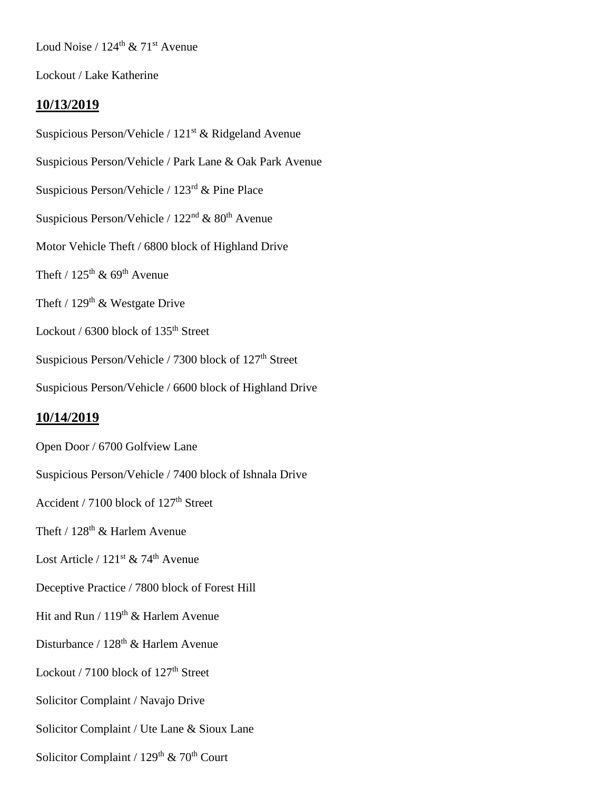Loud Noise /  $124^{\text{th}}$  &  $71^{\text{st}}$  Avenue

Lockout / Lake Katherine

### **10/13/2019**

Suspicious Person/Vehicle /  $121<sup>st</sup>$  & Ridgeland Avenue Suspicious Person/Vehicle / Park Lane & Oak Park Avenue Suspicious Person/Vehicle / 123rd & Pine Place Suspicious Person/Vehicle /  $122<sup>nd</sup>$  &  $80<sup>th</sup>$  Avenue Motor Vehicle Theft / 6800 block of Highland Drive Theft /  $125^{\text{th}}$  &  $69^{\text{th}}$  Avenue Theft /  $129<sup>th</sup>$  & Westgate Drive Lockout / 6300 block of 135<sup>th</sup> Street Suspicious Person/Vehicle / 7300 block of 127<sup>th</sup> Street Suspicious Person/Vehicle / 6600 block of Highland Drive

#### **10/14/2019**

Open Door / 6700 Golfview Lane Suspicious Person/Vehicle / 7400 block of Ishnala Drive Accident / 7100 block of 127<sup>th</sup> Street Theft /  $128^{\text{th}}$  & Harlem Avenue Lost Article /  $121^{st}$  & 74<sup>th</sup> Avenue Deceptive Practice / 7800 block of Forest Hill Hit and Run /  $119<sup>th</sup>$  & Harlem Avenue Disturbance / 128<sup>th</sup> & Harlem Avenue

Lockout / 7100 block of 127<sup>th</sup> Street

Solicitor Complaint / Navajo Drive

Solicitor Complaint / Ute Lane & Sioux Lane

Solicitor Complaint /  $129<sup>th</sup>$  & 70<sup>th</sup> Court